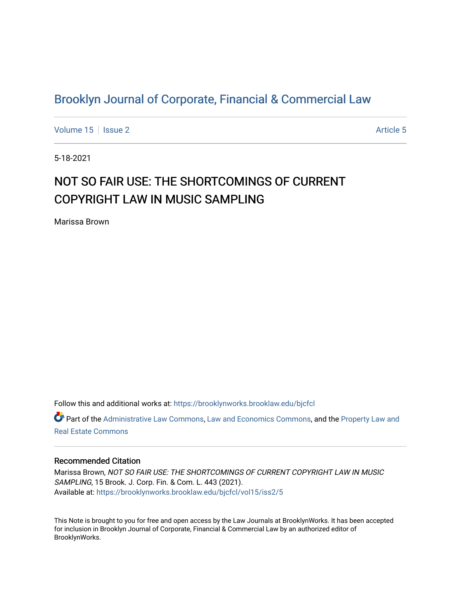## [Brooklyn Journal of Corporate, Financial & Commercial Law](https://brooklynworks.brooklaw.edu/bjcfcl)

[Volume 15](https://brooklynworks.brooklaw.edu/bjcfcl/vol15) Setsue 2 [Article 5](https://brooklynworks.brooklaw.edu/bjcfcl/vol15/iss2/5) Article 5

5-18-2021

# NOT SO FAIR USE: THE SHORTCOMINGS OF CURRENT COPYRIGHT LAW IN MUSIC SAMPLING

Marissa Brown

Follow this and additional works at: [https://brooklynworks.brooklaw.edu/bjcfcl](https://brooklynworks.brooklaw.edu/bjcfcl?utm_source=brooklynworks.brooklaw.edu%2Fbjcfcl%2Fvol15%2Fiss2%2F5&utm_medium=PDF&utm_campaign=PDFCoverPages)

Part of the [Administrative Law Commons,](http://network.bepress.com/hgg/discipline/579?utm_source=brooklynworks.brooklaw.edu%2Fbjcfcl%2Fvol15%2Fiss2%2F5&utm_medium=PDF&utm_campaign=PDFCoverPages) [Law and Economics Commons](http://network.bepress.com/hgg/discipline/612?utm_source=brooklynworks.brooklaw.edu%2Fbjcfcl%2Fvol15%2Fiss2%2F5&utm_medium=PDF&utm_campaign=PDFCoverPages), and the [Property Law and](http://network.bepress.com/hgg/discipline/897?utm_source=brooklynworks.brooklaw.edu%2Fbjcfcl%2Fvol15%2Fiss2%2F5&utm_medium=PDF&utm_campaign=PDFCoverPages)  [Real Estate Commons](http://network.bepress.com/hgg/discipline/897?utm_source=brooklynworks.brooklaw.edu%2Fbjcfcl%2Fvol15%2Fiss2%2F5&utm_medium=PDF&utm_campaign=PDFCoverPages) 

## Recommended Citation

Marissa Brown, NOT SO FAIR USE: THE SHORTCOMINGS OF CURRENT COPYRIGHT LAW IN MUSIC SAMPLING, 15 Brook. J. Corp. Fin. & Com. L. 443 (2021). Available at: [https://brooklynworks.brooklaw.edu/bjcfcl/vol15/iss2/5](https://brooklynworks.brooklaw.edu/bjcfcl/vol15/iss2/5?utm_source=brooklynworks.brooklaw.edu%2Fbjcfcl%2Fvol15%2Fiss2%2F5&utm_medium=PDF&utm_campaign=PDFCoverPages)

This Note is brought to you for free and open access by the Law Journals at BrooklynWorks. It has been accepted for inclusion in Brooklyn Journal of Corporate, Financial & Commercial Law by an authorized editor of BrooklynWorks.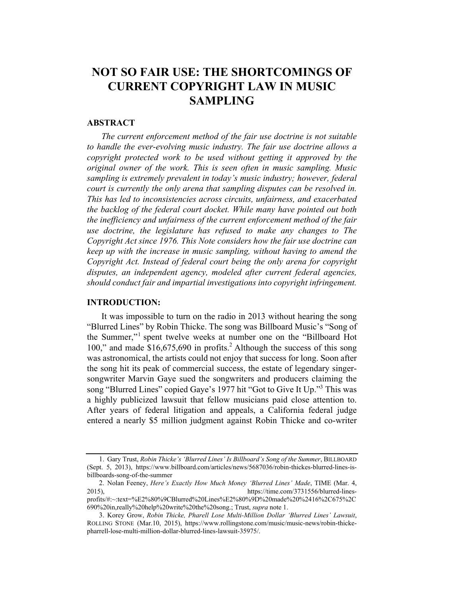## NOT SO FAIR USE: THE SHORTCOMINGS OF CURRENT COPYRIGHT LAW IN MUSIC SAMPLING

## ABSTRACT

The current enforcement method of the fair use doctrine is not suitable to handle the ever-evolving music industry. The fair use doctrine allows a copyright protected work to be used without getting it approved by the original owner of the work. This is seen often in music sampling. Music sampling is extremely prevalent in today's music industry; however, federal court is currently the only arena that sampling disputes can be resolved in. This has led to inconsistencies across circuits, unfairness, and exacerbated the backlog of the federal court docket. While many have pointed out both the inefficiency and unfairness of the current enforcement method of the fair use doctrine, the legislature has refused to make any changes to The Copyright Act since 1976. This Note considers how the fair use doctrine can keep up with the increase in music sampling, without having to amend the Copyright Act. Instead of federal court being the only arena for copyright disputes, an independent agency, modeled after current federal agencies, should conduct fair and impartial investigations into copyright infringement.

## INTRODUCTION:

It was impossible to turn on the radio in 2013 without hearing the song "Blurred Lines" by Robin Thicke. The song was Billboard Music's "Song of the Summer,"<sup>1</sup> spent twelve weeks at number one on the "Billboard Hot 100," and made \$16,675,690 in profits. <sup>2</sup> Although the success of this song was astronomical, the artists could not enjoy that success for long. Soon after the song hit its peak of commercial success, the estate of legendary singersongwriter Marvin Gaye sued the songwriters and producers claiming the song "Blurred Lines" copied Gaye's 1977 hit "Got to Give It Up."3 This was a highly publicized lawsuit that fellow musicians paid close attention to. After years of federal litigation and appeals, a California federal judge entered a nearly \$5 million judgment against Robin Thicke and co-writer

<sup>1.</sup> Gary Trust, Robin Thicke's 'Blurred Lines' Is Billboard's Song of the Summer, BILLBOARD (Sept. 5, 2013), https://www.billboard.com/articles/news/5687036/robin-thickes-blurred-lines-isbillboards-song-of-the-summer

<sup>2.</sup> Nolan Feeney, Here's Exactly How Much Money 'Blurred Lines' Made, TIME (Mar. 4, 2015), https://time.com/3731556/blurred-linesprofits/#:~:text=%E2%80%9CBlurred%20Lines%E2%80%9D%20made%20%2416%2C675%2C 690%20in,really%20help%20write%20the%20song.; Trust, supra note 1.

<sup>3.</sup> Korey Grow, Robin Thicke, Pharell Lose Multi-Million Dollar 'Blurred Lines' Lawsuit, ROLLING STONE (Mar.10, 2015), https://www.rollingstone.com/music/music-news/robin-thickepharrell-lose-multi-million-dollar-blurred-lines-lawsuit-35975/.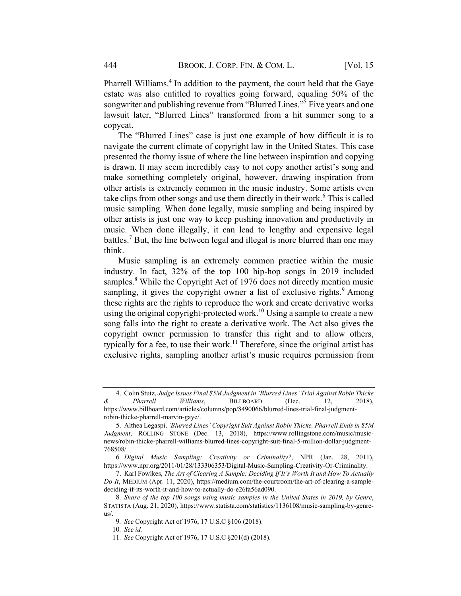Pharrell Williams.<sup>4</sup> In addition to the payment, the court held that the Gaye estate was also entitled to royalties going forward, equaling 50% of the songwriter and publishing revenue from "Blurred Lines."<sup>5</sup> Five years and one lawsuit later, "Blurred Lines" transformed from a hit summer song to a copycat.

The "Blurred Lines" case is just one example of how difficult it is to navigate the current climate of copyright law in the United States. This case presented the thorny issue of where the line between inspiration and copying is drawn. It may seem incredibly easy to not copy another artist's song and make something completely original, however, drawing inspiration from other artists is extremely common in the music industry. Some artists even take clips from other songs and use them directly in their work. <sup>6</sup> This is called music sampling. When done legally, music sampling and being inspired by other artists is just one way to keep pushing innovation and productivity in music. When done illegally, it can lead to lengthy and expensive legal battles.<sup>7</sup> But, the line between legal and illegal is more blurred than one may think.

Music sampling is an extremely common practice within the music industry. In fact, 32% of the top 100 hip-hop songs in 2019 included samples.<sup>8</sup> While the Copyright Act of 1976 does not directly mention music sampling, it gives the copyright owner a list of exclusive rights. $9$  Among these rights are the rights to reproduce the work and create derivative works using the original copyright-protected work.<sup>10</sup> Using a sample to create a new song falls into the right to create a derivative work. The Act also gives the copyright owner permission to transfer this right and to allow others, typically for a fee, to use their work.<sup>11</sup> Therefore, since the original artist has exclusive rights, sampling another artist's music requires permission from

<sup>4.</sup> Colin Stutz, Judge Issues Final \$5M Judgment in 'Blurred Lines' Trial Against Robin Thicke & Pharrell Williams, BILLBOARD (Dec. 12, 2018), https://www.billboard.com/articles/columns/pop/8490066/blurred-lines-trial-final-judgmentrobin-thicke-pharrell-marvin-gaye/.

<sup>5.</sup> Althea Legaspi, 'Blurred Lines' Copyright Suit Against Robin Thicke, Pharrell Ends in \$5M Judgment, ROLLING STONE (Dec. 13, 2018), https://www.rollingstone.com/music/musicnews/robin-thicke-pharrell-williams-blurred-lines-copyright-suit-final-5-million-dollar-judgment-768508/.

<sup>6</sup>. Digital Music Sampling: Creativity or Criminality?, NPR (Jan. 28, 2011), https://www.npr.org/2011/01/28/133306353/Digital-Music-Sampling-Creativity-Or-Criminality.

<sup>7.</sup> Karl Fowlkes, The Art of Clearing A Sample: Deciding If It's Worth It and How To Actually Do It, MEDIUM (Apr. 11, 2020), https://medium.com/the-courtroom/the-art-of-clearing-a-sampledeciding-if-its-worth-it-and-how-to-actually-do-e26fa56ad090.

<sup>8</sup>. Share of the top 100 songs using music samples in the United States in 2019, by Genre, STATISTA (Aug. 21, 2020), https://www.statista.com/statistics/1136108/music-sampling-by-genreus/.

<sup>9</sup>. See Copyright Act of 1976, 17 U.S.C §106 (2018).

<sup>10</sup>. See id.

<sup>11</sup>. See Copyright Act of 1976, 17 U.S.C §201(d) (2018).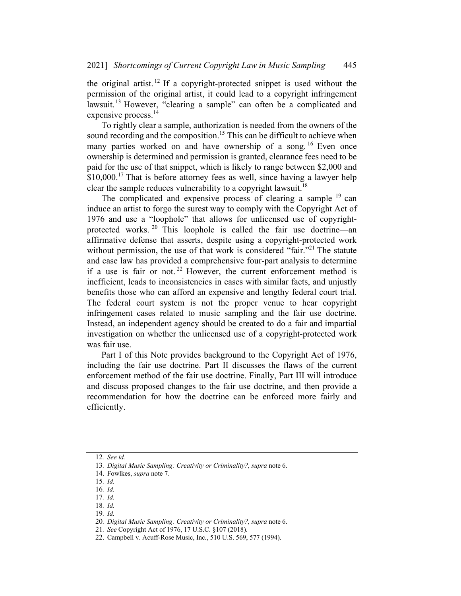the original artist.<sup>12</sup> If a copyright-protected snippet is used without the permission of the original artist, it could lead to a copyright infringement lawsuit.<sup>13</sup> However, "clearing a sample" can often be a complicated and expensive process.<sup>14</sup>

To rightly clear a sample, authorization is needed from the owners of the sound recording and the composition.<sup>15</sup> This can be difficult to achieve when many parties worked on and have ownership of a song.<sup>16</sup> Even once ownership is determined and permission is granted, clearance fees need to be paid for the use of that snippet, which is likely to range between \$2,000 and  $$10,000$ .<sup>17</sup> That is before attorney fees as well, since having a lawyer help clear the sample reduces vulnerability to a copyright lawsuit.<sup>18</sup>

The complicated and expensive process of clearing a sample  $19$  can induce an artist to forgo the surest way to comply with the Copyright Act of 1976 and use a "loophole" that allows for unlicensed use of copyrightprotected works. <sup>20</sup> This loophole is called the fair use doctrine—an affirmative defense that asserts, despite using a copyright-protected work without permission, the use of that work is considered "fair."<sup>21</sup> The statute and case law has provided a comprehensive four-part analysis to determine if a use is fair or not.<sup>22</sup> However, the current enforcement method is inefficient, leads to inconsistencies in cases with similar facts, and unjustly benefits those who can afford an expensive and lengthy federal court trial. The federal court system is not the proper venue to hear copyright infringement cases related to music sampling and the fair use doctrine. Instead, an independent agency should be created to do a fair and impartial investigation on whether the unlicensed use of a copyright-protected work was fair use.

Part I of this Note provides background to the Copyright Act of 1976, including the fair use doctrine. Part II discusses the flaws of the current enforcement method of the fair use doctrine. Finally, Part III will introduce and discuss proposed changes to the fair use doctrine, and then provide a recommendation for how the doctrine can be enforced more fairly and efficiently.

<sup>12</sup>. See id.

<sup>13</sup>. Digital Music Sampling: Creativity or Criminality?, supra note 6.

<sup>14.</sup> Fowlkes, supra note 7.

<sup>15</sup>. Id.

<sup>16</sup>. Id.

<sup>17</sup>. Id.

<sup>18</sup>. Id.

<sup>19</sup>. Id.

<sup>20</sup>. Digital Music Sampling: Creativity or Criminality?, supra note 6.

<sup>21</sup>. See Copyright Act of 1976, 17 U.S.C. §107 (2018).

<sup>22.</sup> Campbell v. Acuff-Rose Music, Inc., 510 U.S. 569, 577 (1994).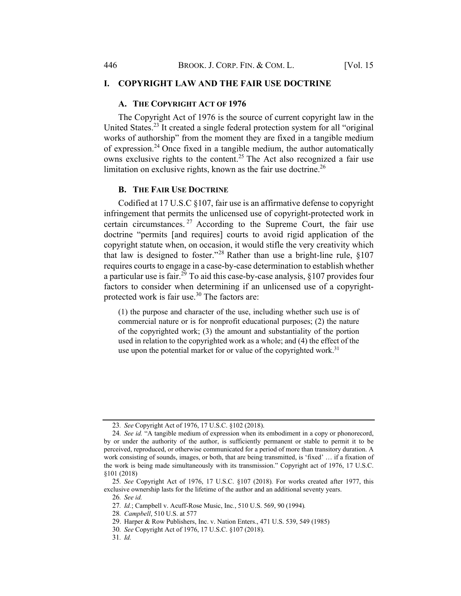## I. COPYRIGHT LAW AND THE FAIR USE DOCTRINE

## A. THE COPYRIGHT ACT OF 1976

The Copyright Act of 1976 is the source of current copyright law in the United States.<sup>23</sup> It created a single federal protection system for all "original works of authorship" from the moment they are fixed in a tangible medium of expression.<sup>24</sup> Once fixed in a tangible medium, the author automatically owns exclusive rights to the content.<sup>25</sup> The Act also recognized a fair use limitation on exclusive rights, known as the fair use doctrine.<sup>26</sup>

#### B. THE FAIR USE DOCTRINE

Codified at 17 U.S.C §107, fair use is an affirmative defense to copyright infringement that permits the unlicensed use of copyright-protected work in certain circumstances.  $27$  According to the Supreme Court, the fair use doctrine "permits [and requires] courts to avoid rigid application of the copyright statute when, on occasion, it would stifle the very creativity which that law is designed to foster."<sup>28</sup> Rather than use a bright-line rule,  $§107$ requires courts to engage in a case-by-case determination to establish whether a particular use is fair.<sup>29</sup> To aid this case-by-case analysis,  $\frac{8107}{2}$  provides four factors to consider when determining if an unlicensed use of a copyrightprotected work is fair use. $30$  The factors are:

(1) the purpose and character of the use, including whether such use is of commercial nature or is for nonprofit educational purposes; (2) the nature of the copyrighted work; (3) the amount and substantiality of the portion used in relation to the copyrighted work as a whole; and (4) the effect of the use upon the potential market for or value of the copyrighted work.<sup>31</sup>

<sup>23</sup>. See Copyright Act of 1976, 17 U.S.C. §102 (2018).

<sup>24</sup>. See id. "A tangible medium of expression when its embodiment in a copy or phonorecord, by or under the authority of the author, is sufficiently permanent or stable to permit it to be perceived, reproduced, or otherwise communicated for a period of more than transitory duration. A work consisting of sounds, images, or both, that are being transmitted, is 'fixed' … if a fixation of the work is being made simultaneously with its transmission." Copyright act of 1976, 17 U.S.C. §101 (2018)

<sup>25</sup>. See Copyright Act of 1976, 17 U.S.C. §107 (2018). For works created after 1977, this exclusive ownership lasts for the lifetime of the author and an additional seventy years.

<sup>26</sup>. See id.

<sup>27</sup>. Id.; Campbell v. Acuff-Rose Music, Inc., 510 U.S. 569, 90 (1994).

<sup>28</sup>. Campbell, 510 U.S. at 577

<sup>29.</sup> Harper & Row Publishers, Inc. v. Nation Enters., 471 U.S. 539, 549 (1985)

<sup>30</sup>. See Copyright Act of 1976, 17 U.S.C. §107 (2018).

<sup>31</sup>. Id.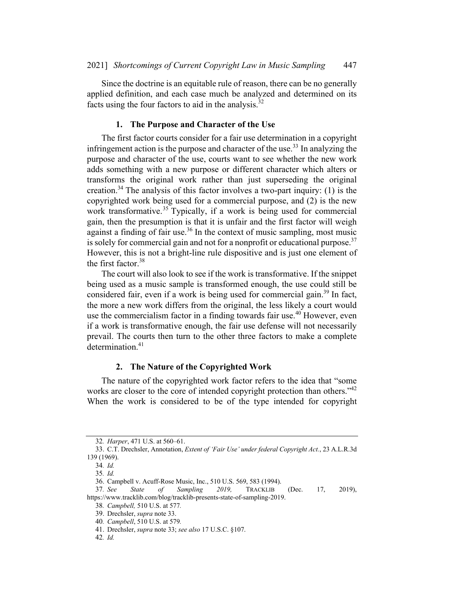Since the doctrine is an equitable rule of reason, there can be no generally applied definition, and each case much be analyzed and determined on its facts using the four factors to aid in the analysis. $32$ 

#### 1. The Purpose and Character of the Use

The first factor courts consider for a fair use determination in a copyright infringement action is the purpose and character of the use.<sup>33</sup> In analyzing the purpose and character of the use, courts want to see whether the new work adds something with a new purpose or different character which alters or transforms the original work rather than just superseding the original creation.<sup>34</sup> The analysis of this factor involves a two-part inquiry: (1) is the copyrighted work being used for a commercial purpose, and (2) is the new work transformative.<sup>35</sup> Typically, if a work is being used for commercial gain, then the presumption is that it is unfair and the first factor will weigh against a finding of fair use.<sup>36</sup> In the context of music sampling, most music is solely for commercial gain and not for a nonprofit or educational purpose.<sup>37</sup> However, this is not a bright-line rule dispositive and is just one element of the first factor. 38

The court will also look to see if the work is transformative. If the snippet being used as a music sample is transformed enough, the use could still be considered fair, even if a work is being used for commercial gain.<sup>39</sup> In fact, the more a new work differs from the original, the less likely a court would use the commercialism factor in a finding towards fair use.<sup>40</sup> However, even if a work is transformative enough, the fair use defense will not necessarily prevail. The courts then turn to the other three factors to make a complete determination.<sup>41</sup>

## 2. The Nature of the Copyrighted Work

The nature of the copyrighted work factor refers to the idea that "some works are closer to the core of intended copyright protection than others."<sup>42</sup> When the work is considered to be of the type intended for copyright

37. See State of Sampling 2019, TRACKLIB (Dec. 17, 2019), https://www.tracklib.com/blog/tracklib-presents-state-of-sampling-2019.

<sup>32</sup>. Harper, 471 U.S. at 560–61.

<sup>33.</sup> C.T. Drechsler, Annotation, Extent of 'Fair Use' under federal Copyright Act., 23 A.L.R.3d 139 (1969).

<sup>34</sup>. Id.

<sup>35</sup>. Id.

<sup>36.</sup> Campbell v. Acuff-Rose Music, Inc., 510 U.S. 569, 583 (1994).

<sup>38</sup>. Campbell, 510 U.S. at 577.

<sup>39.</sup> Drechsler, supra note 33.

<sup>40</sup>. Campbell, 510 U.S. at 579.

<sup>41.</sup> Drechsler, supra note 33; see also 17 U.S.C. §107.

<sup>42</sup>. Id.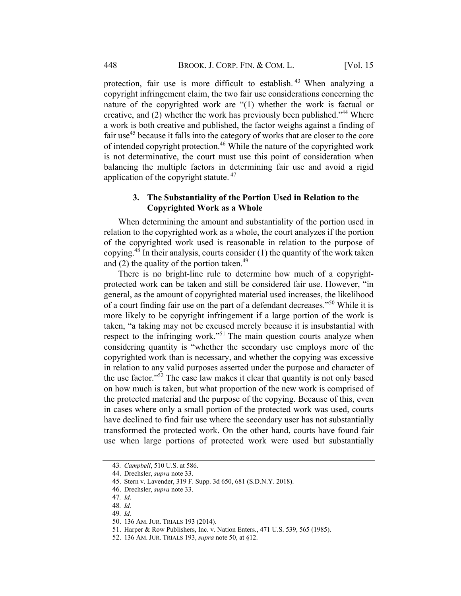protection, fair use is more difficult to establish.<sup>43</sup> When analyzing a copyright infringement claim, the two fair use considerations concerning the nature of the copyrighted work are "(1) whether the work is factual or creative, and (2) whether the work has previously been published."<sup>44</sup> Where a work is both creative and published, the factor weighs against a finding of fair use<sup>45</sup> because it falls into the category of works that are closer to the core of intended copyright protection.<sup>46</sup> While the nature of the copyrighted work is not determinative, the court must use this point of consideration when balancing the multiple factors in determining fair use and avoid a rigid application of the copyright statute.  $47$ 

## 3. The Substantiality of the Portion Used in Relation to the Copyrighted Work as a Whole

When determining the amount and substantiality of the portion used in relation to the copyrighted work as a whole, the court analyzes if the portion of the copyrighted work used is reasonable in relation to the purpose of copying.<sup>48</sup> In their analysis, courts consider  $(1)$  the quantity of the work taken and  $(2)$  the quality of the portion taken.<sup>49</sup>

There is no bright-line rule to determine how much of a copyrightprotected work can be taken and still be considered fair use. However, "in general, as the amount of copyrighted material used increases, the likelihood of a court finding fair use on the part of a defendant decreases."<sup>50</sup> While it is more likely to be copyright infringement if a large portion of the work is taken, "a taking may not be excused merely because it is insubstantial with respect to the infringing work."<sup>51</sup> The main question courts analyze when considering quantity is "whether the secondary use employs more of the copyrighted work than is necessary, and whether the copying was excessive in relation to any valid purposes asserted under the purpose and character of the use factor."52 The case law makes it clear that quantity is not only based on how much is taken, but what proportion of the new work is comprised of the protected material and the purpose of the copying. Because of this, even in cases where only a small portion of the protected work was used, courts have declined to find fair use where the secondary user has not substantially transformed the protected work. On the other hand, courts have found fair use when large portions of protected work were used but substantially

<sup>43</sup>. Campbell, 510 U.S. at 586.

<sup>44.</sup> Drechsler, supra note 33.

<sup>45.</sup> Stern v. Lavender, 319 F. Supp. 3d 650, 681 (S.D.N.Y. 2018).

<sup>46.</sup> Drechsler, supra note 33.

<sup>47</sup>. Id.

<sup>48</sup>. Id.

<sup>49</sup>. Id.

<sup>50.</sup> 136 AM. JUR. TRIALS 193 (2014).

<sup>51.</sup> Harper & Row Publishers, Inc. v. Nation Enters., 471 U.S. 539, 565 (1985).

<sup>52.</sup> 136 AM. JUR. TRIALS 193, supra note 50, at §12.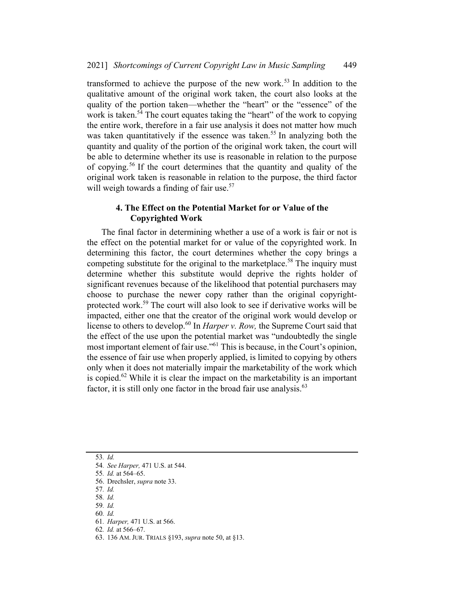transformed to achieve the purpose of the new work.<sup>53</sup> In addition to the qualitative amount of the original work taken, the court also looks at the quality of the portion taken—whether the "heart" or the "essence" of the work is taken.<sup>54</sup> The court equates taking the "heart" of the work to copying the entire work, therefore in a fair use analysis it does not matter how much was taken quantitatively if the essence was taken.<sup>55</sup> In analyzing both the quantity and quality of the portion of the original work taken, the court will be able to determine whether its use is reasonable in relation to the purpose of copying. <sup>56</sup> If the court determines that the quantity and quality of the original work taken is reasonable in relation to the purpose, the third factor will weigh towards a finding of fair use. $57$ 

## 4. The Effect on the Potential Market for or Value of the Copyrighted Work

The final factor in determining whether a use of a work is fair or not is the effect on the potential market for or value of the copyrighted work. In determining this factor, the court determines whether the copy brings a competing substitute for the original to the marketplace.<sup>58</sup> The inquiry must determine whether this substitute would deprive the rights holder of significant revenues because of the likelihood that potential purchasers may choose to purchase the newer copy rather than the original copyrightprotected work. <sup>59</sup> The court will also look to see if derivative works will be impacted, either one that the creator of the original work would develop or license to others to develop.<sup>60</sup> In *Harper v. Row,* the Supreme Court said that the effect of the use upon the potential market was "undoubtedly the single most important element of fair use."<sup>61</sup> This is because, in the Court's opinion, the essence of fair use when properly applied, is limited to copying by others only when it does not materially impair the marketability of the work which is copied.<sup>62</sup> While it is clear the impact on the marketability is an important factor, it is still only one factor in the broad fair use analysis. $63$ 

53. Id.

<sup>54</sup>. See Harper, 471 U.S. at 544.

<sup>55</sup>. Id. at 564–65.

<sup>56.</sup> Drechsler, supra note 33.

<sup>57</sup>. Id.

<sup>58</sup>. Id.

<sup>59</sup>. Id. 60. Id.

<sup>61</sup>. Harper, 471 U.S. at 566.

<sup>62</sup>. Id. at 566–67.

<sup>63.</sup> 136 AM. JUR. TRIALS §193, supra note 50, at §13.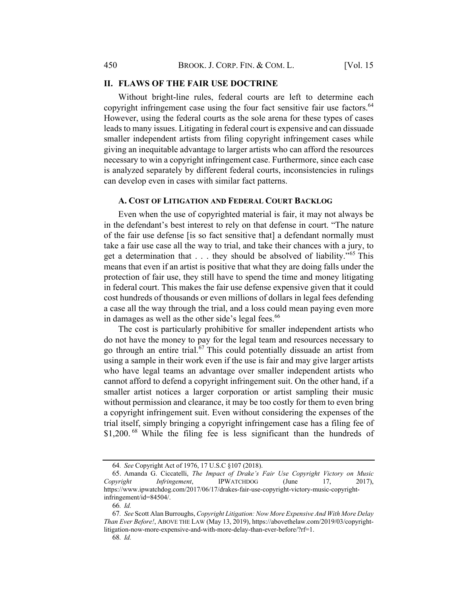## II. FLAWS OF THE FAIR USE DOCTRINE

Without bright-line rules, federal courts are left to determine each copyright infringement case using the four fact sensitive fair use factors.<sup>64</sup> However, using the federal courts as the sole arena for these types of cases leads to many issues. Litigating in federal court is expensive and can dissuade smaller independent artists from filing copyright infringement cases while giving an inequitable advantage to larger artists who can afford the resources necessary to win a copyright infringement case. Furthermore, since each case is analyzed separately by different federal courts, inconsistencies in rulings can develop even in cases with similar fact patterns.

#### A. COST OF LITIGATION AND FEDERAL COURT BACKLOG

Even when the use of copyrighted material is fair, it may not always be in the defendant's best interest to rely on that defense in court. "The nature of the fair use defense [is so fact sensitive that] a defendant normally must take a fair use case all the way to trial, and take their chances with a jury, to get a determination that  $\dots$  they should be absolved of liability."<sup>65</sup> This means that even if an artist is positive that what they are doing falls under the protection of fair use, they still have to spend the time and money litigating in federal court. This makes the fair use defense expensive given that it could cost hundreds of thousands or even millions of dollars in legal fees defending a case all the way through the trial, and a loss could mean paying even more in damages as well as the other side's legal fees.<sup>66</sup>

The cost is particularly prohibitive for smaller independent artists who do not have the money to pay for the legal team and resources necessary to go through an entire trial.<sup>67</sup> This could potentially dissuade an artist from using a sample in their work even if the use is fair and may give larger artists who have legal teams an advantage over smaller independent artists who cannot afford to defend a copyright infringement suit. On the other hand, if a smaller artist notices a larger corporation or artist sampling their music without permission and clearance, it may be too costly for them to even bring a copyright infringement suit. Even without considering the expenses of the trial itself, simply bringing a copyright infringement case has a filing fee of \$1,200.<sup>68</sup> While the filing fee is less significant than the hundreds of

<sup>64</sup>. See Copyright Act of 1976, 17 U.S.C §107 (2018).

<sup>65.</sup> Amanda G. Ciccatelli, The Impact of Drake's Fair Use Copyright Victory on Music Copyright Infringement, IPWATCHDOG (June 17, 2017), https://www.ipwatchdog.com/2017/06/17/drakes-fair-use-copyright-victory-music-copyrightinfringement/id=84504/.

<sup>66</sup>. Id.

<sup>67</sup>. See Scott Alan Burroughs, Copyright Litigation: Now More Expensive And With More Delay Than Ever Before!, ABOVE THE LAW (May 13, 2019), https://abovethelaw.com/2019/03/copyrightlitigation-now-more-expensive-and-with-more-delay-than-ever-before/?rf=1.

<sup>68</sup>. Id.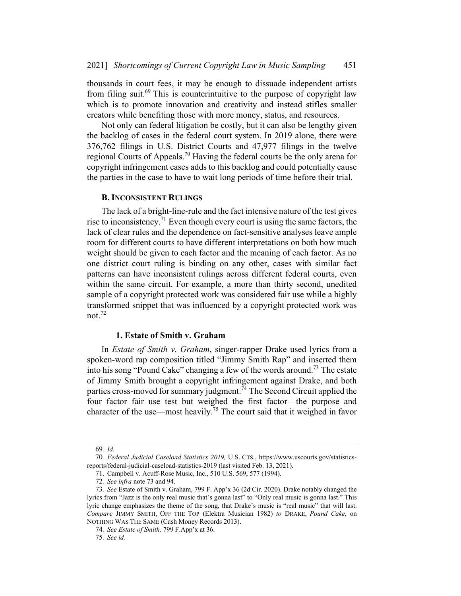thousands in court fees, it may be enough to dissuade independent artists from filing suit.<sup>69</sup> This is counterintuitive to the purpose of copyright law which is to promote innovation and creativity and instead stifles smaller creators while benefiting those with more money, status, and resources.

Not only can federal litigation be costly, but it can also be lengthy given the backlog of cases in the federal court system. In 2019 alone, there were 376,762 filings in U.S. District Courts and 47,977 filings in the twelve regional Courts of Appeals.<sup>70</sup> Having the federal courts be the only arena for copyright infringement cases adds to this backlog and could potentially cause the parties in the case to have to wait long periods of time before their trial.

#### B. INCONSISTENT RULINGS

The lack of a bright-line-rule and the fact intensive nature of the test gives rise to inconsistency.<sup>71</sup> Even though every court is using the same factors, the lack of clear rules and the dependence on fact-sensitive analyses leave ample room for different courts to have different interpretations on both how much weight should be given to each factor and the meaning of each factor. As no one district court ruling is binding on any other, cases with similar fact patterns can have inconsistent rulings across different federal courts, even within the same circuit. For example, a more than thirty second, unedited sample of a copyright protected work was considered fair use while a highly transformed snippet that was influenced by a copyright protected work was not.72

## 1. Estate of Smith v. Graham

In *Estate of Smith v. Graham*, singer-rapper Drake used lyrics from a spoken-word rap composition titled "Jimmy Smith Rap" and inserted them into his song "Pound Cake" changing a few of the words around.<sup>73</sup> The estate of Jimmy Smith brought a copyright infringement against Drake, and both parties cross-moved for summary judgment.<sup>74</sup> The Second Circuit applied the four factor fair use test but weighed the first factor—the purpose and character of the use—most heavily.<sup>75</sup> The court said that it weighed in favor

<sup>69</sup>. Id.

<sup>70</sup>. Federal Judicial Caseload Statistics 2019, U.S. CTS., https://www.uscourts.gov/statisticsreports/federal-judicial-caseload-statistics-2019 (last visited Feb. 13, 2021).

<sup>71.</sup> Campbell v. Acuff-Rose Music, Inc., 510 U.S. 569, 577 (1994).

<sup>72</sup>. See infra note 73 and 94.

<sup>73</sup>. See Estate of Smith v. Graham, 799 F. App'x 36 (2d Cir. 2020). Drake notably changed the lyrics from "Jazz is the only real music that's gonna last" to "Only real music is gonna last." This lyric change emphasizes the theme of the song, that Drake's music is "real music" that will last. Compare JIMMY SMITH, OFF THE TOP (Elektra Musician 1982) to DRAKE, Pound Cake, on NOTHING WAS THE SAME (Cash Money Records 2013).

<sup>74</sup>. See Estate of Smith, 799 F.App'x at 36.

<sup>75</sup>. See id.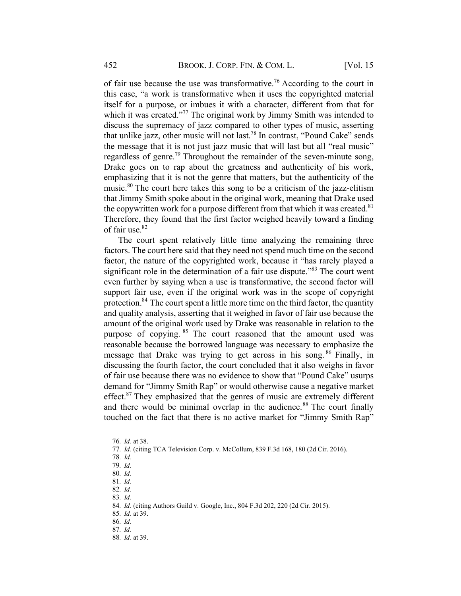of fair use because the use was transformative.<sup>76</sup> According to the court in this case, "a work is transformative when it uses the copyrighted material itself for a purpose, or imbues it with a character, different from that for which it was created."<sup>77</sup> The original work by Jimmy Smith was intended to discuss the supremacy of jazz compared to other types of music, asserting that unlike jazz, other music will not last.78 In contrast, "Pound Cake" sends the message that it is not just jazz music that will last but all "real music" regardless of genre.<sup>79</sup> Throughout the remainder of the seven-minute song, Drake goes on to rap about the greatness and authenticity of his work, emphasizing that it is not the genre that matters, but the authenticity of the music.<sup>80</sup> The court here takes this song to be a criticism of the jazz-elitism that Jimmy Smith spoke about in the original work, meaning that Drake used the copywritten work for a purpose different from that which it was created.<sup>81</sup> Therefore, they found that the first factor weighed heavily toward a finding of fair use. 82

The court spent relatively little time analyzing the remaining three factors. The court here said that they need not spend much time on the second factor, the nature of the copyrighted work, because it "has rarely played a significant role in the determination of a fair use dispute.<sup>883</sup> The court went even further by saying when a use is transformative, the second factor will support fair use, even if the original work was in the scope of copyright protection.<sup>84</sup> The court spent a little more time on the third factor, the quantity and quality analysis, asserting that it weighed in favor of fair use because the amount of the original work used by Drake was reasonable in relation to the purpose of copying. <sup>85</sup> The court reasoned that the amount used was reasonable because the borrowed language was necessary to emphasize the message that Drake was trying to get across in his song.<sup>86</sup> Finally, in discussing the fourth factor, the court concluded that it also weighs in favor of fair use because there was no evidence to show that "Pound Cake" usurps demand for "Jimmy Smith Rap" or would otherwise cause a negative market effect. $87$  They emphasized that the genres of music are extremely different and there would be minimal overlap in the audience.<sup>88</sup> The court finally touched on the fact that there is no active market for "Jimmy Smith Rap"

- 
- 83. Id.

85. Id. at 39.

<sup>76</sup>. Id. at 38.

<sup>77</sup>. Id. (citing TCA Television Corp. v. McCollum, 839 F.3d 168, 180 (2d Cir. 2016).

<sup>78</sup>. Id.

<sup>79</sup>. Id.

<sup>80</sup>. Id.

<sup>81</sup>. Id. 82. Id.

<sup>84</sup>. Id. (citing Authors Guild v. Google, Inc., 804 F.3d 202, 220 (2d Cir. 2015).

<sup>86</sup>. Id. 87. Id.

<sup>88</sup>. Id. at 39.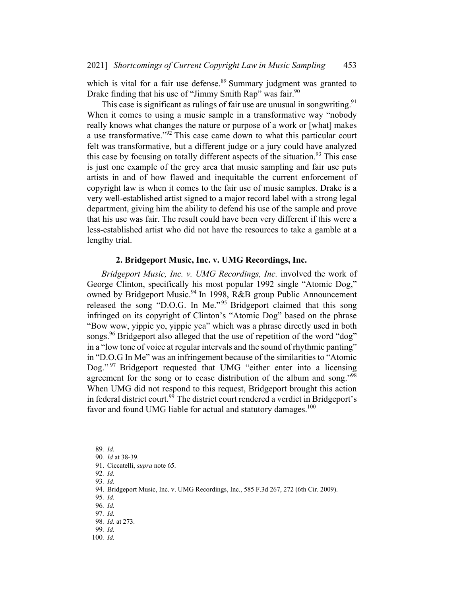which is vital for a fair use defense.<sup>89</sup> Summary judgment was granted to Drake finding that his use of "Jimmy Smith Rap" was fair.<sup>90</sup>

This case is significant as rulings of fair use are unusual in songwriting.<sup>91</sup> When it comes to using a music sample in a transformative way "nobody really knows what changes the nature or purpose of a work or [what] makes a use transformative."<sup>92</sup> This case came down to what this particular court felt was transformative, but a different judge or a jury could have analyzed this case by focusing on totally different aspects of the situation.<sup>93</sup> This case is just one example of the grey area that music sampling and fair use puts artists in and of how flawed and inequitable the current enforcement of copyright law is when it comes to the fair use of music samples. Drake is a very well-established artist signed to a major record label with a strong legal department, giving him the ability to defend his use of the sample and prove that his use was fair. The result could have been very different if this were a less-established artist who did not have the resources to take a gamble at a lengthy trial.

## 2. Bridgeport Music, Inc. v. UMG Recordings, Inc.

Bridgeport Music, Inc. v. UMG Recordings, Inc. involved the work of George Clinton, specifically his most popular 1992 single "Atomic Dog," owned by Bridgeport Music.<sup>94</sup> In 1998, R&B group Public Announcement released the song "D.O.G. In Me."<sup>95</sup> Bridgeport claimed that this song infringed on its copyright of Clinton's "Atomic Dog" based on the phrase "Bow wow, yippie yo, yippie yea" which was a phrase directly used in both songs.<sup>96</sup> Bridgeport also alleged that the use of repetition of the word "dog" in a "low tone of voice at regular intervals and the sound of rhythmic panting" in "D.O.G In Me" was an infringement because of the similarities to "Atomic Dog." <sup>97</sup> Bridgeport requested that UMG "either enter into a licensing agreement for the song or to cease distribution of the album and song."<sup>98</sup> When UMG did not respond to this request, Bridgeport brought this action in federal district court.<sup>99</sup> The district court rendered a verdict in Bridgeport's favor and found UMG liable for actual and statutory damages.<sup>100</sup>

<sup>89</sup>. Id.

<sup>90</sup>. Id at 38-39.

<sup>91.</sup> Ciccatelli, supra note 65.

<sup>92</sup>. Id. 93. Id.

<sup>94.</sup> Bridgeport Music, Inc. v. UMG Recordings, Inc., 585 F.3d 267, 272 (6th Cir. 2009).

<sup>95</sup>. Id.

<sup>96</sup>. Id. 97. Id.

<sup>98</sup>. Id. at 273.

<sup>99</sup>. Id.

<sup>100</sup>. Id.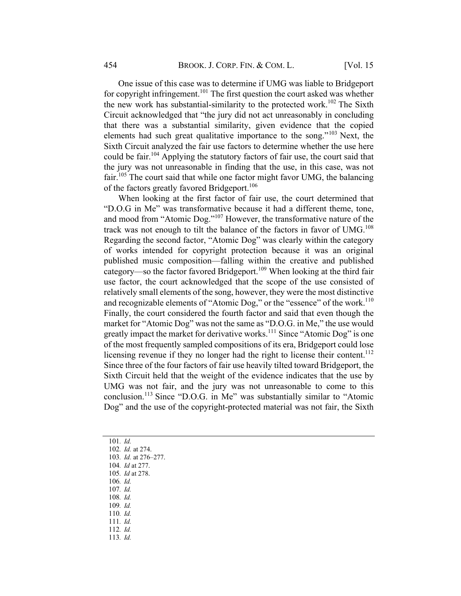One issue of this case was to determine if UMG was liable to Bridgeport for copyright infringement.<sup>101</sup> The first question the court asked was whether the new work has substantial-similarity to the protected work.<sup>102</sup> The Sixth Circuit acknowledged that "the jury did not act unreasonably in concluding that there was a substantial similarity, given evidence that the copied elements had such great qualitative importance to the song."<sup>103</sup> Next, the Sixth Circuit analyzed the fair use factors to determine whether the use here could be fair.<sup>104</sup> Applying the statutory factors of fair use, the court said that the jury was not unreasonable in finding that the use, in this case, was not fair.<sup>105</sup> The court said that while one factor might favor UMG, the balancing of the factors greatly favored Bridgeport.<sup>106</sup>

When looking at the first factor of fair use, the court determined that "D.O.G in Me" was transformative because it had a different theme, tone, and mood from "Atomic Dog."107 However, the transformative nature of the track was not enough to tilt the balance of the factors in favor of UMG.<sup>108</sup> Regarding the second factor, "Atomic Dog" was clearly within the category of works intended for copyright protection because it was an original published music composition—falling within the creative and published category—so the factor favored Bridgeport.<sup>109</sup> When looking at the third fair use factor, the court acknowledged that the scope of the use consisted of relatively small elements of the song, however, they were the most distinctive and recognizable elements of "Atomic Dog," or the "essence" of the work.<sup>110</sup> Finally, the court considered the fourth factor and said that even though the market for "Atomic Dog" was not the same as "D.O.G. in Me," the use would greatly impact the market for derivative works.<sup>111</sup> Since "Atomic Dog" is one of the most frequently sampled compositions of its era, Bridgeport could lose licensing revenue if they no longer had the right to license their content.<sup>112</sup> Since three of the four factors of fair use heavily tilted toward Bridgeport, the Sixth Circuit held that the weight of the evidence indicates that the use by UMG was not fair, and the jury was not unreasonable to come to this conclusion.<sup>113</sup> Since "D.O.G. in Me" was substantially similar to "Atomic Dog" and the use of the copyright-protected material was not fair, the Sixth

- 101. Id.
- 102. Id. at 274.
- 103. Id. at 276–277.
- 104. Id at 277.
- 105. Id at 278.
- 106. Id.
- 107. Id.
- 108. Id.
- 109. Id.
- 110. Id. 111. Id.
- 112. Id.
- 113. Id.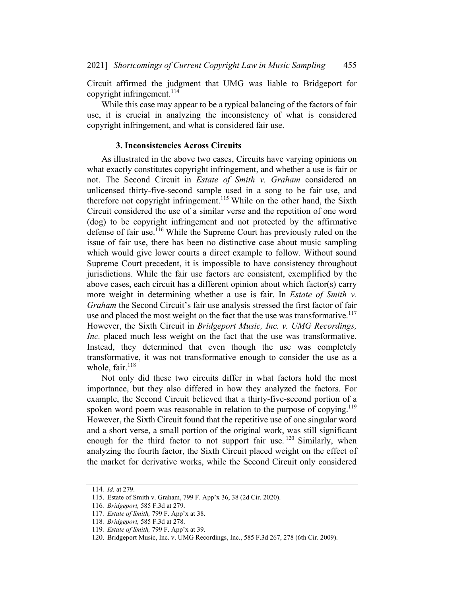Circuit affirmed the judgment that UMG was liable to Bridgeport for copyright infringement.<sup>114</sup>

While this case may appear to be a typical balancing of the factors of fair use, it is crucial in analyzing the inconsistency of what is considered copyright infringement, and what is considered fair use.

## 3. Inconsistencies Across Circuits

As illustrated in the above two cases, Circuits have varying opinions on what exactly constitutes copyright infringement, and whether a use is fair or not. The Second Circuit in Estate of Smith v. Graham considered an unlicensed thirty-five-second sample used in a song to be fair use, and therefore not copyright infringement.<sup>115</sup> While on the other hand, the Sixth Circuit considered the use of a similar verse and the repetition of one word (dog) to be copyright infringement and not protected by the affirmative defense of fair use.<sup>116</sup> While the Supreme Court has previously ruled on the issue of fair use, there has been no distinctive case about music sampling which would give lower courts a direct example to follow. Without sound Supreme Court precedent, it is impossible to have consistency throughout jurisdictions. While the fair use factors are consistent, exemplified by the above cases, each circuit has a different opinion about which factor(s) carry more weight in determining whether a use is fair. In Estate of Smith v. Graham the Second Circuit's fair use analysis stressed the first factor of fair use and placed the most weight on the fact that the use was transformative. $117$ However, the Sixth Circuit in Bridgeport Music, Inc. v. UMG Recordings, Inc. placed much less weight on the fact that the use was transformative. Instead, they determined that even though the use was completely transformative, it was not transformative enough to consider the use as a whole, fair.<sup>118</sup>

Not only did these two circuits differ in what factors hold the most importance, but they also differed in how they analyzed the factors. For example, the Second Circuit believed that a thirty-five-second portion of a spoken word poem was reasonable in relation to the purpose of copying.<sup>119</sup> However, the Sixth Circuit found that the repetitive use of one singular word and a short verse, a small portion of the original work, was still significant enough for the third factor to not support fair use.  $120$  Similarly, when analyzing the fourth factor, the Sixth Circuit placed weight on the effect of the market for derivative works, while the Second Circuit only considered

<sup>114</sup>. Id. at 279.

<sup>115.</sup> Estate of Smith v. Graham, 799 F. App'x 36, 38 (2d Cir. 2020).

<sup>116</sup>. Bridgeport, 585 F.3d at 279.

<sup>117</sup>. Estate of Smith, 799 F. App'x at 38.

<sup>118</sup>. Bridgeport, 585 F.3d at 278.

<sup>119</sup>. Estate of Smith, 799 F. App'x at 39.

<sup>120.</sup> Bridgeport Music, Inc. v. UMG Recordings, Inc., 585 F.3d 267, 278 (6th Cir. 2009).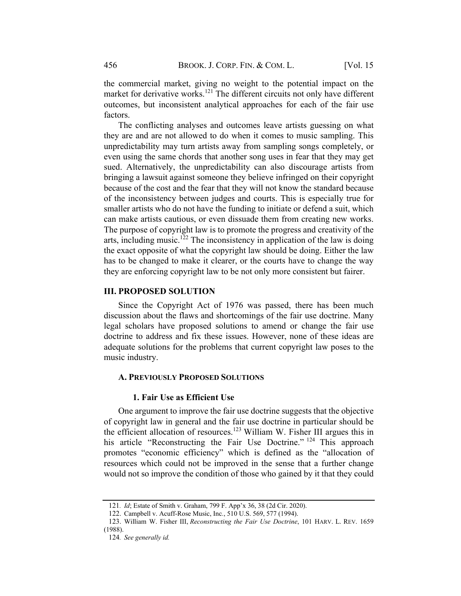the commercial market, giving no weight to the potential impact on the market for derivative works.<sup>121</sup> The different circuits not only have different outcomes, but inconsistent analytical approaches for each of the fair use factors.

The conflicting analyses and outcomes leave artists guessing on what they are and are not allowed to do when it comes to music sampling. This unpredictability may turn artists away from sampling songs completely, or even using the same chords that another song uses in fear that they may get sued. Alternatively, the unpredictability can also discourage artists from bringing a lawsuit against someone they believe infringed on their copyright because of the cost and the fear that they will not know the standard because of the inconsistency between judges and courts. This is especially true for smaller artists who do not have the funding to initiate or defend a suit, which can make artists cautious, or even dissuade them from creating new works. The purpose of copyright law is to promote the progress and creativity of the arts, including music.<sup>122</sup> The inconsistency in application of the law is doing the exact opposite of what the copyright law should be doing. Either the law has to be changed to make it clearer, or the courts have to change the way they are enforcing copyright law to be not only more consistent but fairer.

## III. PROPOSED SOLUTION

Since the Copyright Act of 1976 was passed, there has been much discussion about the flaws and shortcomings of the fair use doctrine. Many legal scholars have proposed solutions to amend or change the fair use doctrine to address and fix these issues. However, none of these ideas are adequate solutions for the problems that current copyright law poses to the music industry.

#### A. PREVIOUSLY PROPOSED SOLUTIONS

#### 1. Fair Use as Efficient Use

One argument to improve the fair use doctrine suggests that the objective of copyright law in general and the fair use doctrine in particular should be the efficient allocation of resources.<sup>123</sup> William W. Fisher III argues this in his article "Reconstructing the Fair Use Doctrine." <sup>124</sup> This approach promotes "economic efficiency" which is defined as the "allocation of resources which could not be improved in the sense that a further change would not so improve the condition of those who gained by it that they could

<sup>121</sup>. Id; Estate of Smith v. Graham, 799 F. App'x 36, 38 (2d Cir. 2020).

<sup>122.</sup> Campbell v. Acuff-Rose Music, Inc., 510 U.S. 569, 577 (1994).

<sup>123.</sup> William W. Fisher III, Reconstructing the Fair Use Doctrine, 101 HARV. L. REV. 1659 (1988).

<sup>124</sup>. See generally id.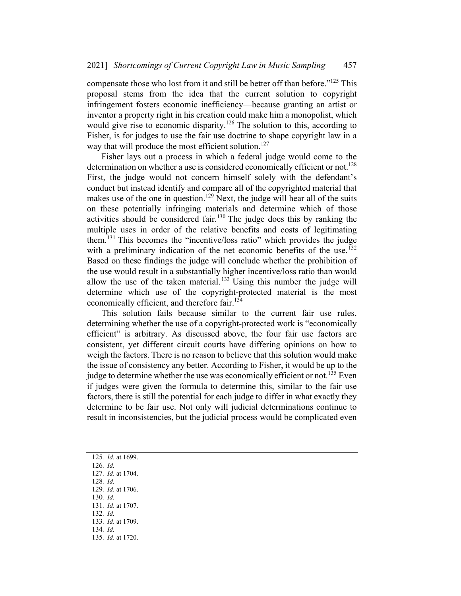compensate those who lost from it and still be better off than before."<sup>125</sup> This proposal stems from the idea that the current solution to copyright infringement fosters economic inefficiency—because granting an artist or inventor a property right in his creation could make him a monopolist, which would give rise to economic disparity.<sup>126</sup> The solution to this, according to Fisher, is for judges to use the fair use doctrine to shape copyright law in a way that will produce the most efficient solution.<sup>127</sup>

Fisher lays out a process in which a federal judge would come to the determination on whether a use is considered economically efficient or not.<sup>128</sup> First, the judge would not concern himself solely with the defendant's conduct but instead identify and compare all of the copyrighted material that makes use of the one in question.<sup>129</sup> Next, the judge will hear all of the suits on these potentially infringing materials and determine which of those activities should be considered fair.<sup>130</sup> The judge does this by ranking the multiple uses in order of the relative benefits and costs of legitimating them.<sup>131</sup> This becomes the "incentive/loss ratio" which provides the judge with a preliminary indication of the net economic benefits of the use.<sup>132</sup> Based on these findings the judge will conclude whether the prohibition of the use would result in a substantially higher incentive/loss ratio than would allow the use of the taken material.<sup>133</sup> Using this number the judge will determine which use of the copyright-protected material is the most economically efficient, and therefore fair.<sup>134</sup>

This solution fails because similar to the current fair use rules, determining whether the use of a copyright-protected work is "economically efficient" is arbitrary. As discussed above, the four fair use factors are consistent, yet different circuit courts have differing opinions on how to weigh the factors. There is no reason to believe that this solution would make the issue of consistency any better. According to Fisher, it would be up to the judge to determine whether the use was economically efficient or not.<sup>135</sup> Even if judges were given the formula to determine this, similar to the fair use factors, there is still the potential for each judge to differ in what exactly they determine to be fair use. Not only will judicial determinations continue to result in inconsistencies, but the judicial process would be complicated even

- 126. Id. 127. Id. at 1704.
- 128. Id.
- 129. Id. at 1706.
- 130. Id.
- 131. Id. at 1707.
- 132. Id.
- 133. Id. at 1709.
- 134. Id.
- 135. Id. at 1720.

<sup>125</sup>. Id. at 1699.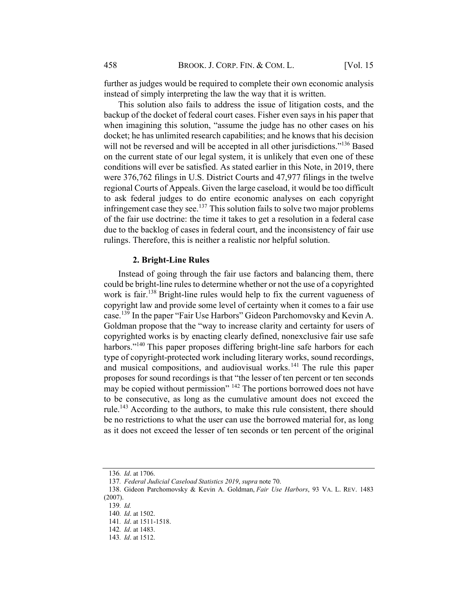further as judges would be required to complete their own economic analysis instead of simply interpreting the law the way that it is written.

This solution also fails to address the issue of litigation costs, and the backup of the docket of federal court cases. Fisher even says in his paper that when imagining this solution, "assume the judge has no other cases on his docket; he has unlimited research capabilities; and he knows that his decision will not be reversed and will be accepted in all other jurisdictions."<sup>136</sup> Based on the current state of our legal system, it is unlikely that even one of these conditions will ever be satisfied. As stated earlier in this Note, in 2019, there were 376,762 filings in U.S. District Courts and 47,977 filings in the twelve regional Courts of Appeals. Given the large caseload, it would be too difficult to ask federal judges to do entire economic analyses on each copyright infringement case they see.<sup>137</sup> This solution fails to solve two major problems of the fair use doctrine: the time it takes to get a resolution in a federal case due to the backlog of cases in federal court, and the inconsistency of fair use rulings. Therefore, this is neither a realistic nor helpful solution.

#### 2. Bright-Line Rules

Instead of going through the fair use factors and balancing them, there could be bright-line rules to determine whether or not the use of a copyrighted work is fair. <sup>138</sup> Bright-line rules would help to fix the current vagueness of copyright law and provide some level of certainty when it comes to a fair use case.<sup>139</sup> In the paper "Fair Use Harbors" Gideon Parchomovsky and Kevin A. Goldman propose that the "way to increase clarity and certainty for users of copyrighted works is by enacting clearly defined, nonexclusive fair use safe harbors."<sup>140</sup> This paper proposes differing bright-line safe harbors for each type of copyright-protected work including literary works, sound recordings, and musical compositions, and audiovisual works.<sup>141</sup> The rule this paper proposes for sound recordings is that "the lesser of ten percent or ten seconds may be copied without permission" <sup>142</sup> The portions borrowed does not have to be consecutive, as long as the cumulative amount does not exceed the rule.<sup>143</sup> According to the authors, to make this rule consistent, there should be no restrictions to what the user can use the borrowed material for, as long as it does not exceed the lesser of ten seconds or ten percent of the original

<sup>136</sup>. Id. at 1706.

<sup>137</sup>. Federal Judicial Caseload Statistics 2019, supra note 70.

<sup>138.</sup> Gideon Parchomovsky & Kevin A. Goldman, Fair Use Harbors, 93 VA. L. REV. 1483 (2007).

<sup>139</sup>. Id.

<sup>140</sup>. Id. at 1502.

<sup>141</sup>. Id. at 1511-1518.

<sup>142</sup>. Id. at 1483.

<sup>143</sup>. Id. at 1512.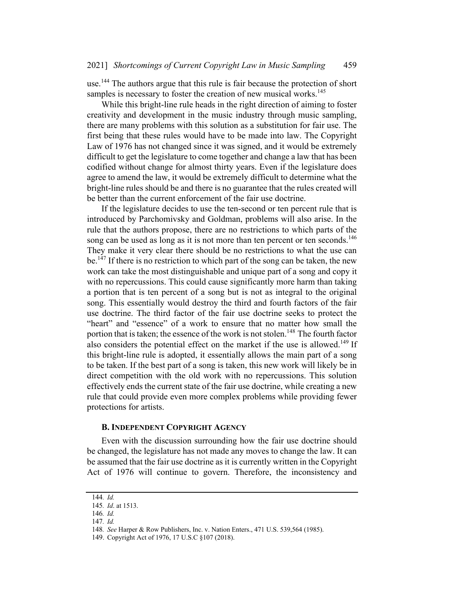use.<sup>144</sup> The authors argue that this rule is fair because the protection of short samples is necessary to foster the creation of new musical works.<sup>145</sup>

While this bright-line rule heads in the right direction of aiming to foster creativity and development in the music industry through music sampling, there are many problems with this solution as a substitution for fair use. The first being that these rules would have to be made into law. The Copyright Law of 1976 has not changed since it was signed, and it would be extremely difficult to get the legislature to come together and change a law that has been codified without change for almost thirty years. Even if the legislature does agree to amend the law, it would be extremely difficult to determine what the bright-line rules should be and there is no guarantee that the rules created will be better than the current enforcement of the fair use doctrine.

If the legislature decides to use the ten-second or ten percent rule that is introduced by Parchomivsky and Goldman, problems will also arise. In the rule that the authors propose, there are no restrictions to which parts of the song can be used as long as it is not more than ten percent or ten seconds.<sup>146</sup> They make it very clear there should be no restrictions to what the use can be.<sup>147</sup> If there is no restriction to which part of the song can be taken, the new work can take the most distinguishable and unique part of a song and copy it with no repercussions. This could cause significantly more harm than taking a portion that is ten percent of a song but is not as integral to the original song. This essentially would destroy the third and fourth factors of the fair use doctrine. The third factor of the fair use doctrine seeks to protect the "heart" and "essence" of a work to ensure that no matter how small the portion that is taken; the essence of the work is not stolen.<sup>148</sup> The fourth factor also considers the potential effect on the market if the use is allowed.<sup>149</sup> If this bright-line rule is adopted, it essentially allows the main part of a song to be taken. If the best part of a song is taken, this new work will likely be in direct competition with the old work with no repercussions. This solution effectively ends the current state of the fair use doctrine, while creating a new rule that could provide even more complex problems while providing fewer protections for artists.

#### B. INDEPENDENT COPYRIGHT AGENCY

Even with the discussion surrounding how the fair use doctrine should be changed, the legislature has not made any moves to change the law. It can be assumed that the fair use doctrine as it is currently written in the Copyright Act of 1976 will continue to govern. Therefore, the inconsistency and

<sup>144</sup>. Id.

<sup>145</sup>. Id. at 1513.

<sup>146</sup>. Id.

<sup>147</sup>. Id.

<sup>148</sup>. See Harper & Row Publishers, Inc. v. Nation Enters., 471 U.S. 539,564 (1985).

<sup>149.</sup> Copyright Act of 1976, 17 U.S.C §107 (2018).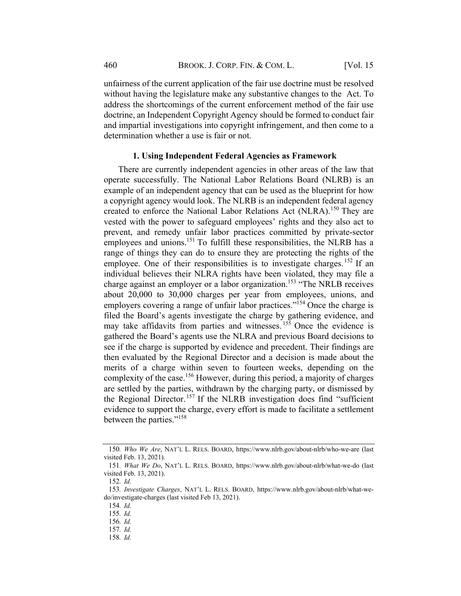unfairness of the current application of the fair use doctrine must be resolved without having the legislature make any substantive changes to the Act. To address the shortcomings of the current enforcement method of the fair use doctrine, an Independent Copyright Agency should be formed to conduct fair and impartial investigations into copyright infringement, and then come to a determination whether a use is fair or not.

## 1. Using Independent Federal Agencies as Framework

There are currently independent agencies in other areas of the law that operate successfully. The National Labor Relations Board (NLRB) is an example of an independent agency that can be used as the blueprint for how a copyright agency would look. The NLRB is an independent federal agency created to enforce the National Labor Relations Act (NLRA).<sup>150</sup> They are vested with the power to safeguard employees' rights and they also act to prevent, and remedy unfair labor practices committed by private-sector employees and unions.<sup>151</sup> To fulfill these responsibilities, the NLRB has a range of things they can do to ensure they are protecting the rights of the employee. One of their responsibilities is to investigate charges.<sup>152</sup> If an individual believes their NLRA rights have been violated, they may file a charge against an employer or a labor organization.153 "The NRLB receives about 20,000 to 30,000 charges per year from employees, unions, and employers covering a range of unfair labor practices."<sup>154</sup> Once the charge is filed the Board's agents investigate the charge by gathering evidence, and may take affidavits from parties and witnesses.  $15\overline{5}$  Once the evidence is gathered the Board's agents use the NLRA and previous Board decisions to see if the charge is supported by evidence and precedent. Their findings are then evaluated by the Regional Director and a decision is made about the merits of a charge within seven to fourteen weeks, depending on the complexity of the case.<sup>156</sup> However, during this period, a majority of charges are settled by the parties, withdrawn by the charging party, or dismissed by the Regional Director.<sup>157</sup> If the NLRB investigation does find "sufficient" evidence to support the charge, every effort is made to facilitate a settlement between the parties."<sup>158</sup>

<sup>150</sup>. Who We Are, NAT'L L. RELS. BOARD, https://www.nlrb.gov/about-nlrb/who-we-are (last visited Feb. 13, 2021).

<sup>151</sup>. What We Do, NAT'L L. RELS. BOARD, https://www.nlrb.gov/about-nlrb/what-we-do (last visited Feb. 13, 2021).

<sup>152</sup>. Id.

<sup>153</sup>. Investigate Charges, NAT'L L. RELS. BOARD, https://www.nlrb.gov/about-nlrb/what-wedo/investigate-charges (last visited Feb 13, 2021).

<sup>154</sup>. Id.

<sup>155</sup>. Id.

<sup>156</sup>. Id. 157. Id.

<sup>158</sup>. Id.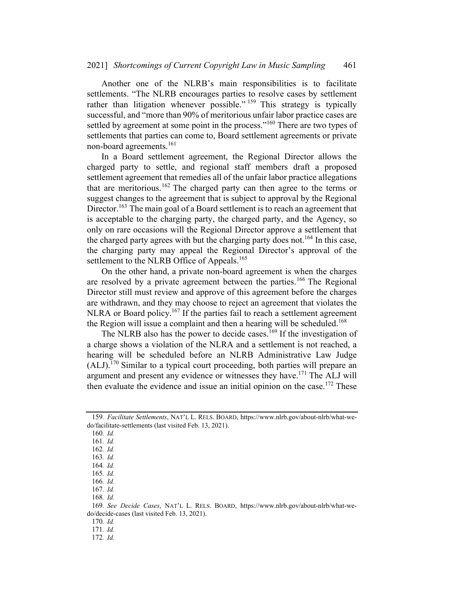Another one of the NLRB's main responsibilities is to facilitate settlements. "The NLRB encourages parties to resolve cases by settlement rather than litigation whenever possible."  $159$  This strategy is typically successful, and "more than 90% of meritorious unfair labor practice cases are settled by agreement at some point in the process."<sup>160</sup> There are two types of settlements that parties can come to, Board settlement agreements or private non-board agreements.<sup>161</sup>

In a Board settlement agreement, the Regional Director allows the charged party to settle, and regional staff members draft a proposed settlement agreement that remedies all of the unfair labor practice allegations that are meritorious.<sup>162</sup> The charged party can then agree to the terms or suggest changes to the agreement that is subject to approval by the Regional Director.<sup>163</sup> The main goal of a Board settlement is to reach an agreement that is acceptable to the charging party, the charged party, and the Agency, so only on rare occasions will the Regional Director approve a settlement that the charged party agrees with but the charging party does not.<sup>164</sup> In this case, the charging party may appeal the Regional Director's approval of the settlement to the NLRB Office of Appeals.<sup>165</sup>

On the other hand, a private non-board agreement is when the charges are resolved by a private agreement between the parties.<sup>166</sup> The Regional Director still must review and approve of this agreement before the charges are withdrawn, and they may choose to reject an agreement that violates the NLRA or Board policy.<sup>167</sup> If the parties fail to reach a settlement agreement the Region will issue a complaint and then a hearing will be scheduled.<sup>168</sup>

The NLRB also has the power to decide cases.<sup>169</sup> If the investigation of a charge shows a violation of the NLRA and a settlement is not reached, a hearing will be scheduled before an NLRB Administrative Law Judge  $(ALJ).$ <sup>170</sup> Similar to a typical court proceeding, both parties will prepare an argument and present any evidence or witnesses they have.<sup>171</sup> The ALJ will then evaluate the evidence and issue an initial opinion on the case.<sup>172</sup> These

168. Id.

170. Id.

171. Id.

172. Id.

<sup>159</sup>. Facilitate Settlements, NAT'L L. RELS. BOARD, https://www.nlrb.gov/about-nlrb/what-wedo/facilitate-settlements (last visited Feb. 13, 2021).

<sup>160</sup>. Id.

<sup>161</sup>. Id.

<sup>162</sup>. Id.

<sup>163</sup>. Id.

<sup>164</sup>. Id.

<sup>165</sup>. Id.

<sup>166</sup>. Id. 167. Id.

<sup>169</sup>. See Decide Cases, NAT'L L. RELS. BOARD, https://www.nlrb.gov/about-nlrb/what-wedo/decide-cases (last visited Feb. 13, 2021).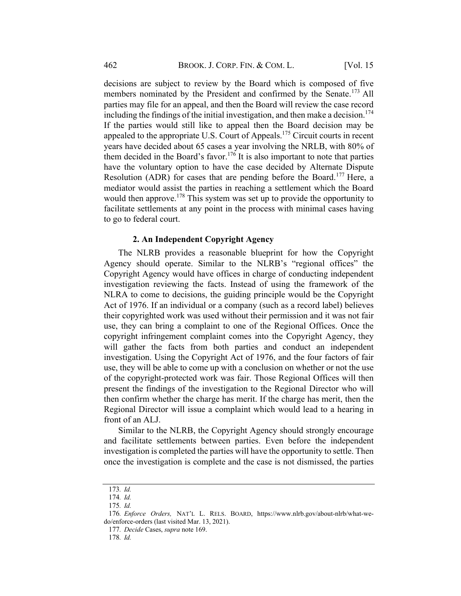decisions are subject to review by the Board which is composed of five members nominated by the President and confirmed by the Senate.<sup>173</sup> All parties may file for an appeal, and then the Board will review the case record including the findings of the initial investigation, and then make a decision.<sup>174</sup> If the parties would still like to appeal then the Board decision may be appealed to the appropriate U.S. Court of Appeals.<sup>175</sup> Circuit courts in recent years have decided about 65 cases a year involving the NRLB, with 80% of them decided in the Board's favor.<sup>176</sup> It is also important to note that parties have the voluntary option to have the case decided by Alternate Dispute Resolution (ADR) for cases that are pending before the Board.<sup>177</sup> Here, a mediator would assist the parties in reaching a settlement which the Board would then approve.<sup>178</sup> This system was set up to provide the opportunity to facilitate settlements at any point in the process with minimal cases having to go to federal court.

#### 2. An Independent Copyright Agency

The NLRB provides a reasonable blueprint for how the Copyright Agency should operate. Similar to the NLRB's "regional offices" the Copyright Agency would have offices in charge of conducting independent investigation reviewing the facts. Instead of using the framework of the NLRA to come to decisions, the guiding principle would be the Copyright Act of 1976. If an individual or a company (such as a record label) believes their copyrighted work was used without their permission and it was not fair use, they can bring a complaint to one of the Regional Offices. Once the copyright infringement complaint comes into the Copyright Agency, they will gather the facts from both parties and conduct an independent investigation. Using the Copyright Act of 1976, and the four factors of fair use, they will be able to come up with a conclusion on whether or not the use of the copyright-protected work was fair. Those Regional Offices will then present the findings of the investigation to the Regional Director who will then confirm whether the charge has merit. If the charge has merit, then the Regional Director will issue a complaint which would lead to a hearing in front of an ALJ.

Similar to the NLRB, the Copyright Agency should strongly encourage and facilitate settlements between parties. Even before the independent investigation is completed the parties will have the opportunity to settle. Then once the investigation is complete and the case is not dismissed, the parties

<sup>173</sup>. Id.

<sup>174</sup>. Id.

<sup>175</sup>. Id.

<sup>176</sup>. Enforce Orders, NAT'L L. RELS. BOARD, https://www.nlrb.gov/about-nlrb/what-wedo/enforce-orders (last visited Mar. 13, 2021).

<sup>177</sup>. Decide Cases, supra note 169.

<sup>178</sup>. Id.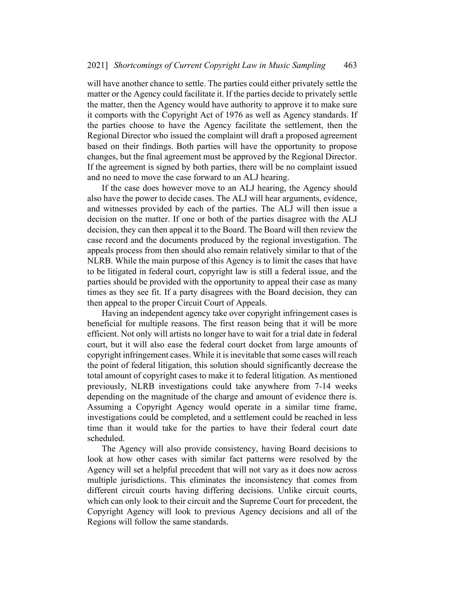will have another chance to settle. The parties could either privately settle the matter or the Agency could facilitate it. If the parties decide to privately settle the matter, then the Agency would have authority to approve it to make sure it comports with the Copyright Act of 1976 as well as Agency standards. If the parties choose to have the Agency facilitate the settlement, then the Regional Director who issued the complaint will draft a proposed agreement based on their findings. Both parties will have the opportunity to propose changes, but the final agreement must be approved by the Regional Director. If the agreement is signed by both parties, there will be no complaint issued and no need to move the case forward to an ALJ hearing.

If the case does however move to an ALJ hearing, the Agency should also have the power to decide cases. The ALJ will hear arguments, evidence, and witnesses provided by each of the parties. The ALJ will then issue a decision on the matter. If one or both of the parties disagree with the ALJ decision, they can then appeal it to the Board. The Board will then review the case record and the documents produced by the regional investigation. The appeals process from then should also remain relatively similar to that of the NLRB. While the main purpose of this Agency is to limit the cases that have to be litigated in federal court, copyright law is still a federal issue, and the parties should be provided with the opportunity to appeal their case as many times as they see fit. If a party disagrees with the Board decision, they can then appeal to the proper Circuit Court of Appeals.

Having an independent agency take over copyright infringement cases is beneficial for multiple reasons. The first reason being that it will be more efficient. Not only will artists no longer have to wait for a trial date in federal court, but it will also ease the federal court docket from large amounts of copyright infringement cases. While it isinevitable that some cases will reach the point of federal litigation, this solution should significantly decrease the total amount of copyright cases to make it to federal litigation. As mentioned previously, NLRB investigations could take anywhere from 7-14 weeks depending on the magnitude of the charge and amount of evidence there is. Assuming a Copyright Agency would operate in a similar time frame, investigations could be completed, and a settlement could be reached in less time than it would take for the parties to have their federal court date scheduled.

The Agency will also provide consistency, having Board decisions to look at how other cases with similar fact patterns were resolved by the Agency will set a helpful precedent that will not vary as it does now across multiple jurisdictions. This eliminates the inconsistency that comes from different circuit courts having differing decisions. Unlike circuit courts, which can only look to their circuit and the Supreme Court for precedent, the Copyright Agency will look to previous Agency decisions and all of the Regions will follow the same standards.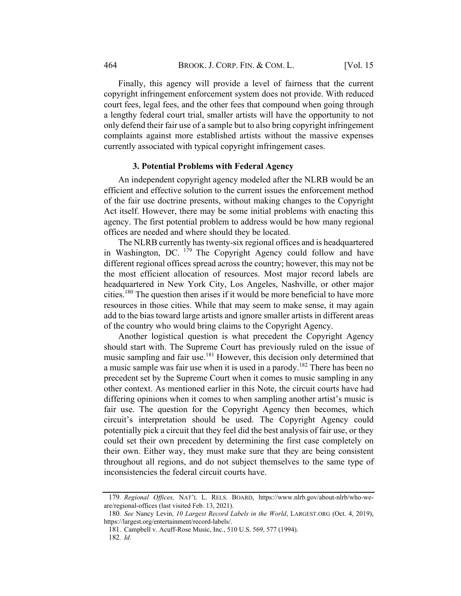Finally, this agency will provide a level of fairness that the current copyright infringement enforcement system does not provide. With reduced court fees, legal fees, and the other fees that compound when going through a lengthy federal court trial, smaller artists will have the opportunity to not only defend their fair use of a sample but to also bring copyright infringement complaints against more established artists without the massive expenses currently associated with typical copyright infringement cases.

## 3. Potential Problems with Federal Agency

An independent copyright agency modeled after the NLRB would be an efficient and effective solution to the current issues the enforcement method of the fair use doctrine presents, without making changes to the Copyright Act itself. However, there may be some initial problems with enacting this agency. The first potential problem to address would be how many regional offices are needed and where should they be located.

The NLRB currently has twenty-six regional offices and is headquartered in Washington, DC. <sup>179</sup> The Copyright Agency could follow and have different regional offices spread across the country; however, this may not be the most efficient allocation of resources. Most major record labels are headquartered in New York City, Los Angeles, Nashville, or other major cities.<sup>180</sup> The question then arises if it would be more beneficial to have more resources in those cities. While that may seem to make sense, it may again add to the bias toward large artists and ignore smaller artists in different areas of the country who would bring claims to the Copyright Agency.

Another logistical question is what precedent the Copyright Agency should start with. The Supreme Court has previously ruled on the issue of music sampling and fair use.<sup>181</sup> However, this decision only determined that a music sample was fair use when it is used in a parody.<sup>182</sup> There has been no precedent set by the Supreme Court when it comes to music sampling in any other context. As mentioned earlier in this Note, the circuit courts have had differing opinions when it comes to when sampling another artist's music is fair use. The question for the Copyright Agency then becomes, which circuit's interpretation should be used. The Copyright Agency could potentially pick a circuit that they feel did the best analysis of fair use, or they could set their own precedent by determining the first case completely on their own. Either way, they must make sure that they are being consistent throughout all regions, and do not subject themselves to the same type of inconsistencies the federal circuit courts have.

<sup>179</sup>. Regional Offices, NAT'L L. RELS. BOARD, https://www.nlrb.gov/about-nlrb/who-weare/regional-offices (last visited Feb. 13, 2021).

<sup>180</sup>. See Nancy Levin, 10 Largest Record Labels in the World, LARGEST.ORG (Oct. 4, 2019), https://largest.org/entertainment/record-labels/.

<sup>181.</sup> Campbell v. Acuff-Rose Music, Inc., 510 U.S. 569, 577 (1994). 182. Id.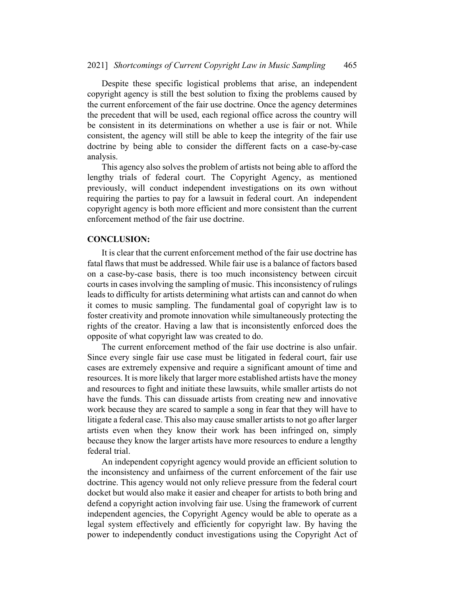Despite these specific logistical problems that arise, an independent copyright agency is still the best solution to fixing the problems caused by the current enforcement of the fair use doctrine. Once the agency determines the precedent that will be used, each regional office across the country will be consistent in its determinations on whether a use is fair or not. While consistent, the agency will still be able to keep the integrity of the fair use doctrine by being able to consider the different facts on a case-by-case analysis.

This agency also solves the problem of artists not being able to afford the lengthy trials of federal court. The Copyright Agency, as mentioned previously, will conduct independent investigations on its own without requiring the parties to pay for a lawsuit in federal court. An independent copyright agency is both more efficient and more consistent than the current enforcement method of the fair use doctrine.

## CONCLUSION:

It is clear that the current enforcement method of the fair use doctrine has fatal flaws that must be addressed. While fair use is a balance of factors based on a case-by-case basis, there is too much inconsistency between circuit courts in cases involving the sampling of music. This inconsistency of rulings leads to difficulty for artists determining what artists can and cannot do when it comes to music sampling. The fundamental goal of copyright law is to foster creativity and promote innovation while simultaneously protecting the rights of the creator. Having a law that is inconsistently enforced does the opposite of what copyright law was created to do.

The current enforcement method of the fair use doctrine is also unfair. Since every single fair use case must be litigated in federal court, fair use cases are extremely expensive and require a significant amount of time and resources. It is more likely that larger more established artists have the money and resources to fight and initiate these lawsuits, while smaller artists do not have the funds. This can dissuade artists from creating new and innovative work because they are scared to sample a song in fear that they will have to litigate a federal case. This also may cause smaller artists to not go after larger artists even when they know their work has been infringed on, simply because they know the larger artists have more resources to endure a lengthy federal trial.

An independent copyright agency would provide an efficient solution to the inconsistency and unfairness of the current enforcement of the fair use doctrine. This agency would not only relieve pressure from the federal court docket but would also make it easier and cheaper for artists to both bring and defend a copyright action involving fair use. Using the framework of current independent agencies, the Copyright Agency would be able to operate as a legal system effectively and efficiently for copyright law. By having the power to independently conduct investigations using the Copyright Act of